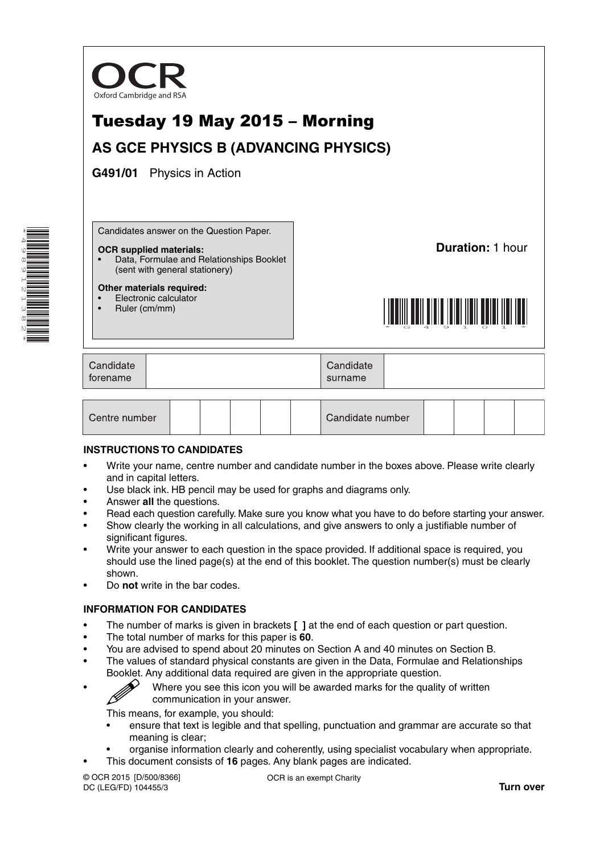

**Duration:** 1 hour



| Candidate<br>forename |  | Candidate<br>surname |  |
|-----------------------|--|----------------------|--|
|-----------------------|--|----------------------|--|

| Centre number |  |  |  |  |  | Candidate number |  |  |  |  |  |
|---------------|--|--|--|--|--|------------------|--|--|--|--|--|
|---------------|--|--|--|--|--|------------------|--|--|--|--|--|

### **INSTRUCTIONS TO CANDIDATES**

- Write your name, centre number and candidate number in the boxes above. Please write clearly and in capital letters.
- Use black ink. HB pencil may be used for graphs and diagrams only.
- Answer **all** the questions.

**Other materials required:** • Electronic calculator • Ruler (cm/mm)

- Read each question carefully. Make sure you know what you have to do before starting your answer.
- Show clearly the working in all calculations, and give answers to only a justifiable number of significant figures.
- Write your answer to each question in the space provided. If additional space is required, you should use the lined page(s) at the end of this booklet. The question number(s) must be clearly shown.
- Do **not** write in the bar codes.

### **INFORMATION FOR CANDIDATES**

- The number of marks is given in brackets **[ ]** at the end of each question or part question.
- The total number of marks for this paper is **60**.
- You are advised to spend about 20 minutes on Section A and 40 minutes on Section B.
- The values of standard physical constants are given in the Data, Formulae and Relationships Booklet. Any additional data required are given in the appropriate question.

Where you see this icon you will be awarded marks for the quality of written communication in your answer. communication in your answer.

This means, for example, you should:

- ensure that text is legible and that spelling, punctuation and grammar are accurate so that meaning is clear;
- organise information clearly and coherently, using specialist vocabulary when appropriate.
- This document consists of **16** pages. Any blank pages are indicated.

© OCR 2015 [D/500/8366] DC (LEG/FD) 104455/3

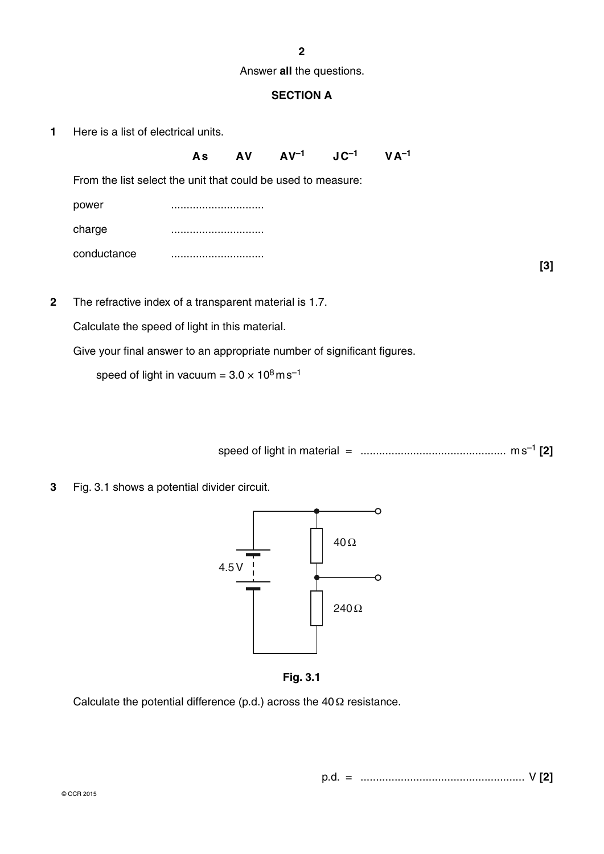**2**

Answer **all** the questions.

# **SECTION A**

**1** Here is a list of electrical units.

|                                                              | As | <b>AV</b> | $AV^{-1}$ $JC^{-1}$ | $V A^{-1}$ |  |
|--------------------------------------------------------------|----|-----------|---------------------|------------|--|
| From the list select the unit that could be used to measure: |    |           |                     |            |  |
| power                                                        |    |           |                     |            |  |
| charge                                                       |    |           |                     |            |  |
| conductance                                                  |    |           |                     |            |  |

**[3]**

**2** The refractive index of a transparent material is 1.7.

Calculate the speed of light in this material.

Give your final answer to an appropriate number of significant figures.

speed of light in vacuum =  $3.0 \times 10^8$  m s<sup>-1</sup>

speed of light in material = ............................................... m s–1 **[2]**

**3** Fig. 3.1 shows a potential divider circuit.



**Fig. 3.1**

Calculate the potential difference (p.d.) across the  $40\Omega$  resistance.

p.d. = ..................................................... V **[2]**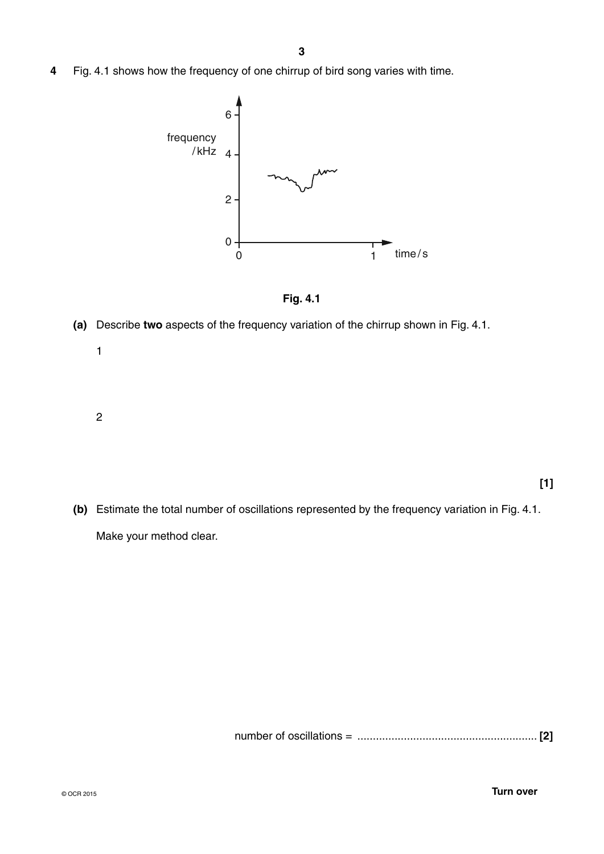**4** Fig. 4.1 shows how the frequency of one chirrup of bird song varies with time.



**Fig. 4.1**

- **(a)** Describe **two** aspects of the frequency variation of the chirrup shown in Fig. 4.1.
	- 1
	- 2

- **[1]**
- **(b)** Estimate the total number of oscillations represented by the frequency variation in Fig. 4.1. Make your method clear.

number of oscillations = .......................................................... **[2]**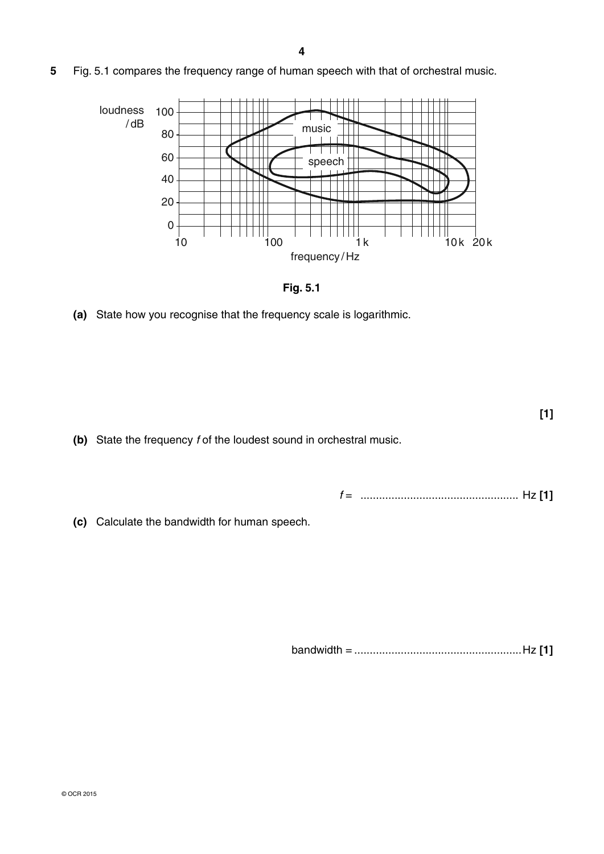**5** Fig. 5.1 compares the frequency range of human speech with that of orchestral music.



**Fig. 5.1**

 **(a)** State how you recognise that the frequency scale is logarithmic.

 **(b)** State the frequency *f* of the loudest sound in orchestral music.

 *f* = ................................................... Hz **[1]**

**[1]**

 **(c)** Calculate the bandwidth for human speech.

bandwidth = ......................................................Hz **[1]**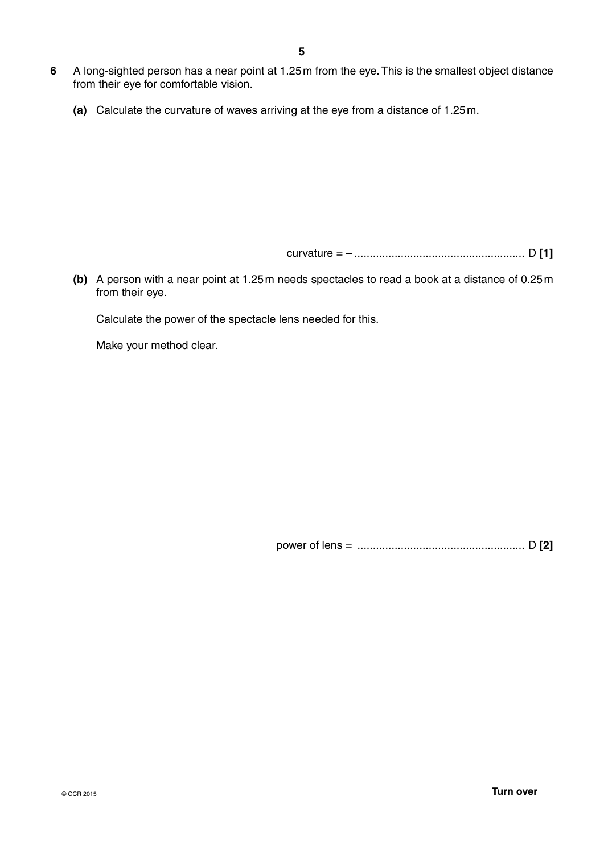- **6** A long-sighted person has a near point at 1.25 m from the eye. This is the smallest object distance from their eye for comfortable vision.
	- **(a)** Calculate the curvature of waves arriving at the eye from a distance of 1.25 m.

curvature = – ....................................................... D **[1]**

 **(b)** A person with a near point at 1.25 m needs spectacles to read a book at a distance of 0.25 m from their eye.

Calculate the power of the spectacle lens needed for this.

Make your method clear.

power of lens = ...................................................... D **[2]**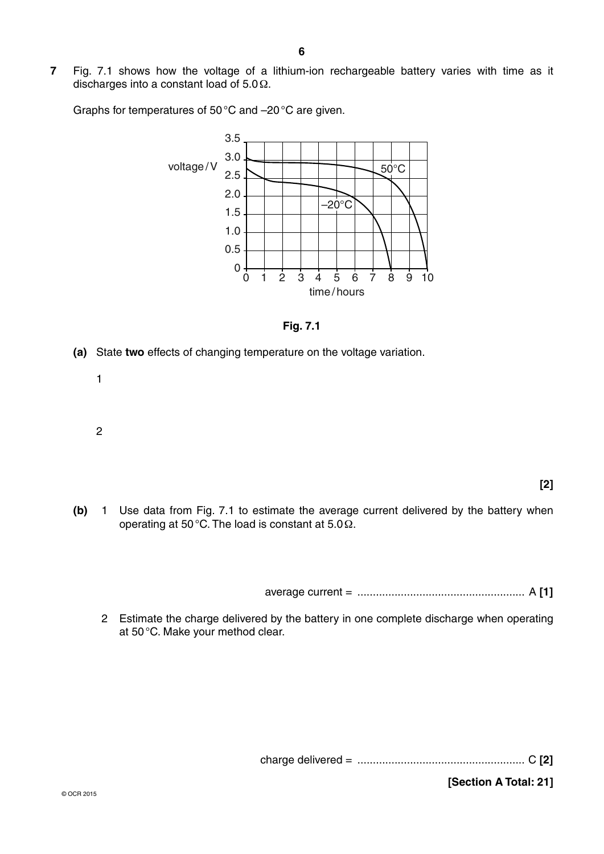**7** Fig. 7.1 shows how the voltage of a lithium-ion rechargeable battery varies with time as it discharges into a constant load of 5.0 Ω.

Graphs for temperatures of 50 °C and –20 °C are given.





- **(a)** State **two** effects of changing temperature on the voltage variation.
	- 1
	- 2

**[2]**

 **(b)** 1 Use data from Fig. 7.1 to estimate the average current delivered by the battery when operating at 50 °C. The load is constant at 5.0 Ω.

average current = ...................................................... A **[1]**

2 Estimate the charge delivered by the battery in one complete discharge when operating at 50 °C. Make your method clear.

charge delivered = ...................................................... C **[2]**

**[Section A Total: 21]**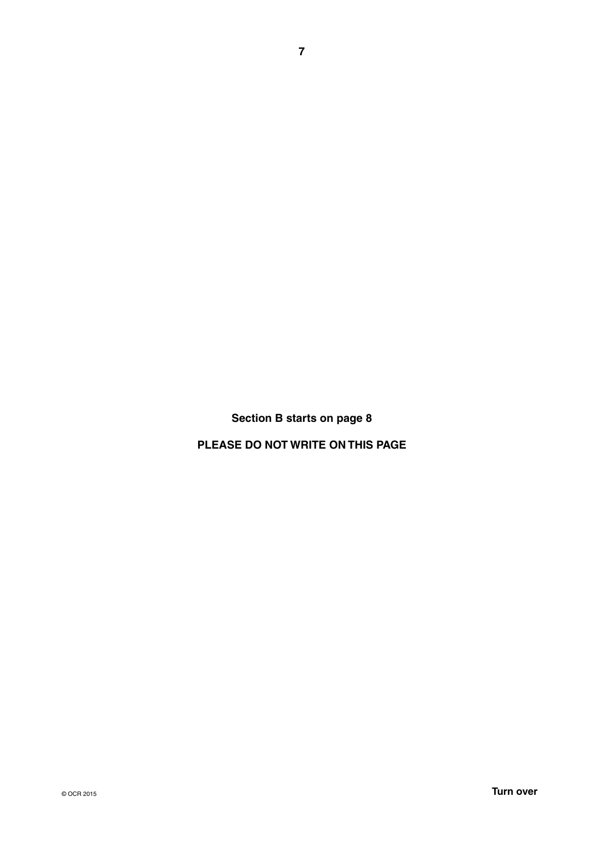**Section B starts on page 8**

**PLEASE DO NOT WRITE ON THIS PAGE**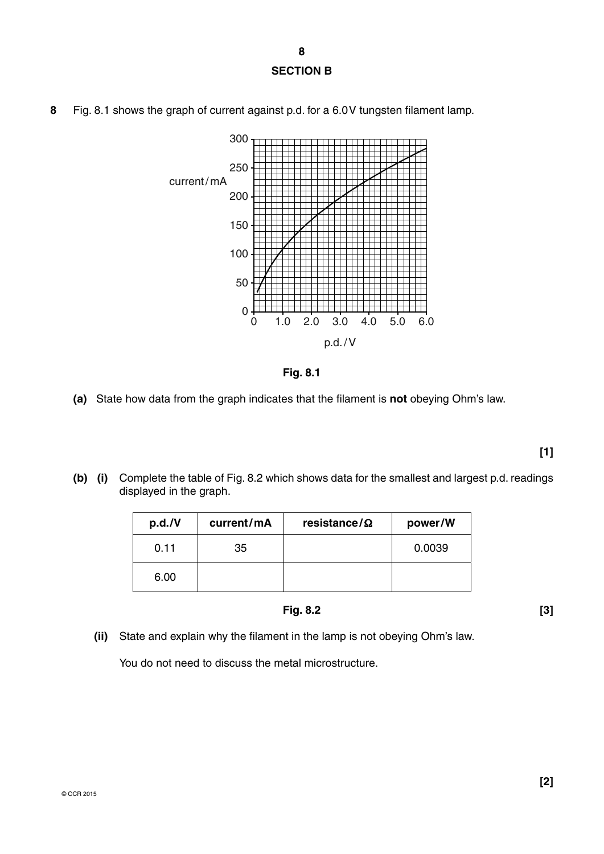**8**

## **SECTION B**



**8** Fig. 8.1 shows the graph of current against p.d. for a 6.0 V tungsten filament lamp.



 **(a)** State how data from the graph indicates that the filament is **not** obeying Ohm's law.

 **(b) (i)** Complete the table of Fig. 8.2 which shows data for the smallest and largest p.d. readings displayed in the graph.

| p.d./V | current/mA | resistance/ $\Omega$ | power/W |
|--------|------------|----------------------|---------|
| 0.11   | 35         |                      | 0.0039  |
| 6.00   |            |                      |         |

$$
Fig. 8.2 \tag{3}
$$

 **(ii)** State and explain why the filament in the lamp is not obeying Ohm's law.

You do not need to discuss the metal microstructure.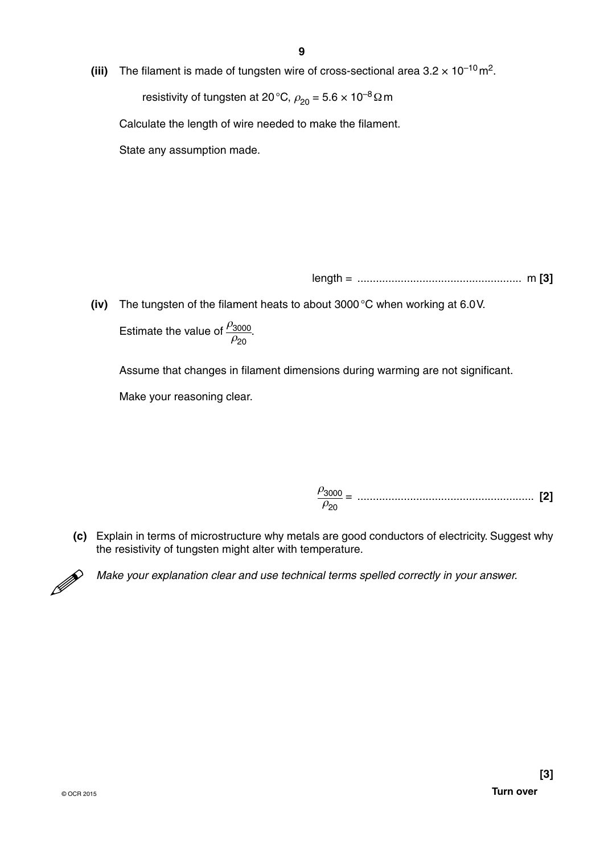**(iii)** The filament is made of tungsten wire of cross-sectional area  $3.2 \times 10^{-10}$  m<sup>2</sup>.

resistivity of tungsten at 20 °C,  $\rho_{20} = 5.6 \times 10^{-8} \Omega$  m

Calculate the length of wire needed to make the filament.

State any assumption made.

length = ..................................................... m **[3]**

 **(iv)** The tungsten of the filament heats to about 3000 °C when working at 6.0 V. **Estimate the value of**  $\frac{\rho_{3000}}{2}$  $\rho_{20}$ .

Assume that changes in filament dimensions during warming are not significant.

Make your reasoning clear.

ρ3000 = ......................................................... **[2]**  $\rho_{20}$ 

 **(c)** Explain in terms of microstructure why metals are good conductors of electricity. Suggest why the resistivity of tungsten might alter with temperature.



*Make your explanation clear and use technical terms spelled correctly in your answer.*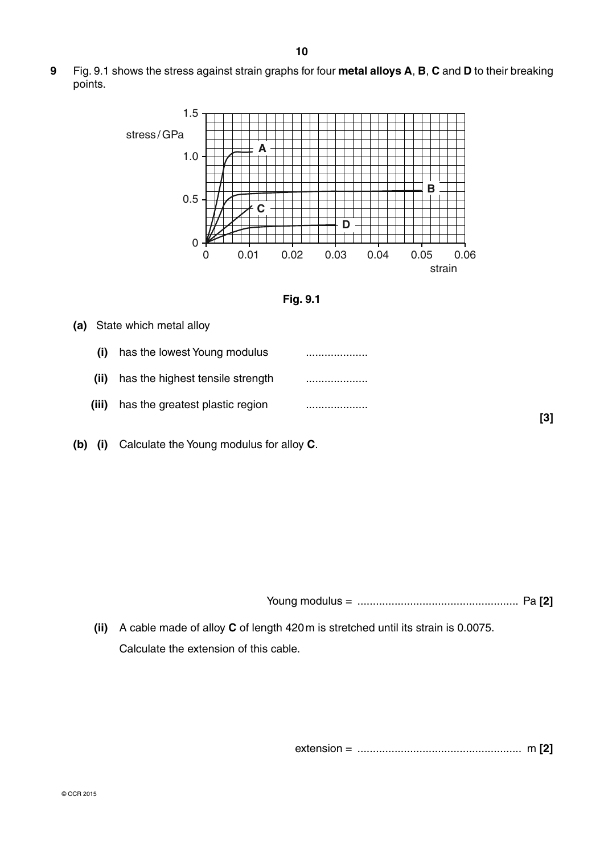**9** Fig. 9.1 shows the stress against strain graphs for four **metal alloys A**, **B**, **C** and **D** to their breaking points.





### **(a)** State which metal alloy

- **(i)** has the lowest Young modulus ....................  **(ii)** has the highest tensile strength ....................  **(iii)** has the greatest plastic region ....................
- **(b) (i)** Calculate the Young modulus for alloy **C**.

Young modulus = .................................................... Pa **[2]**

 **(ii)** A cable made of alloy **C** of length 420 m is stretched until its strain is 0.0075. Calculate the extension of this cable.

extension = ..................................................... m **[2]**

**[3]**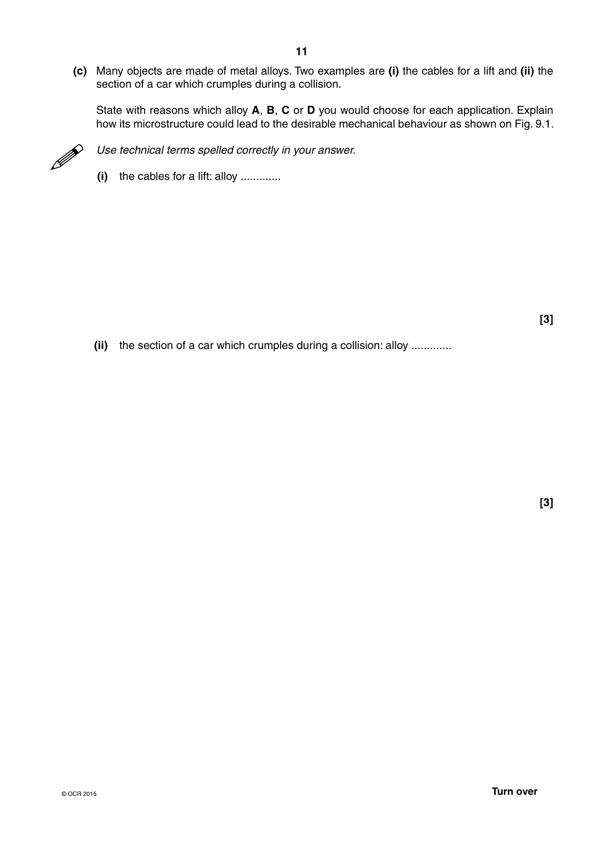**(c)** Many objects are made of metal alloys. Two examples are **(i)** the cables for a lift and **(ii)** the section of a car which crumples during a collision.

State with reasons which alloy **A**, **B**, **C** or **D** you would choose for each application. Explain how its microstructure could lead to the desirable mechanical behaviour as shown on Fig. 9.1.



Use technical terms spelled correctly in your answer.

 **(i)** the cables for a lift: alloy .............

 **(ii)** the section of a car which crumples during a collision: alloy .............

**[3]** 

**[3]**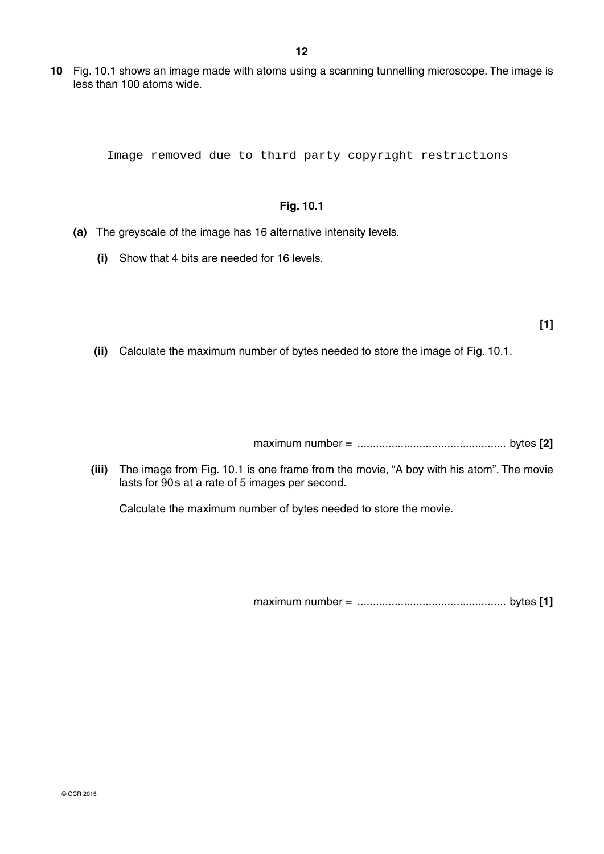**10** Fig. 10.1 shows an image made with atoms using a scanning tunnelling microscope. The image is less than 100 atoms wide.

Image removed due to third party copyright restrictions

## **Fig. 10.1**

- **(a)** The greyscale of the image has 16 alternative intensity levels.
	- **(i)** Show that 4 bits are needed for 16 levels.

- **[1]**
- **(ii)** Calculate the maximum number of bytes needed to store the image of Fig. 10.1.

maximum number = ................................................ bytes **[2]**

 **(iii)** The image from Fig. 10.1 is one frame from the movie, "A boy with his atom". The movie lasts for 90 s at a rate of 5 images per second.

Calculate the maximum number of bytes needed to store the movie.

maximum number = ................................................ bytes **[1]**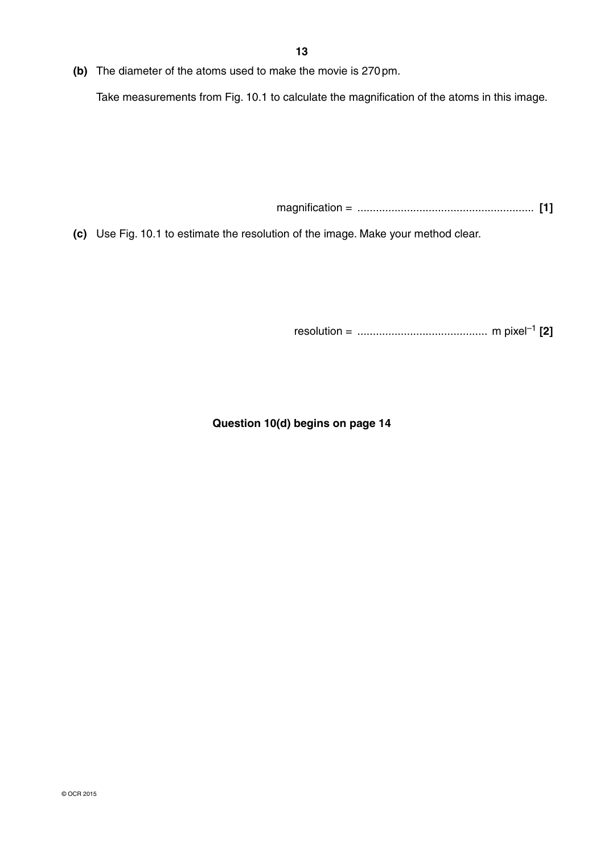**(b)** The diameter of the atoms used to make the movie is 270 pm.

Take measurements from Fig. 10.1 to calculate the magnification of the atoms in this image.

magnification = ......................................................... **[1]**

 **(c)** Use Fig. 10.1 to estimate the resolution of the image. Make your method clear.

resolution = .......................................... m pixel–1 **[2]**

**Question 10(d) begins on page 14**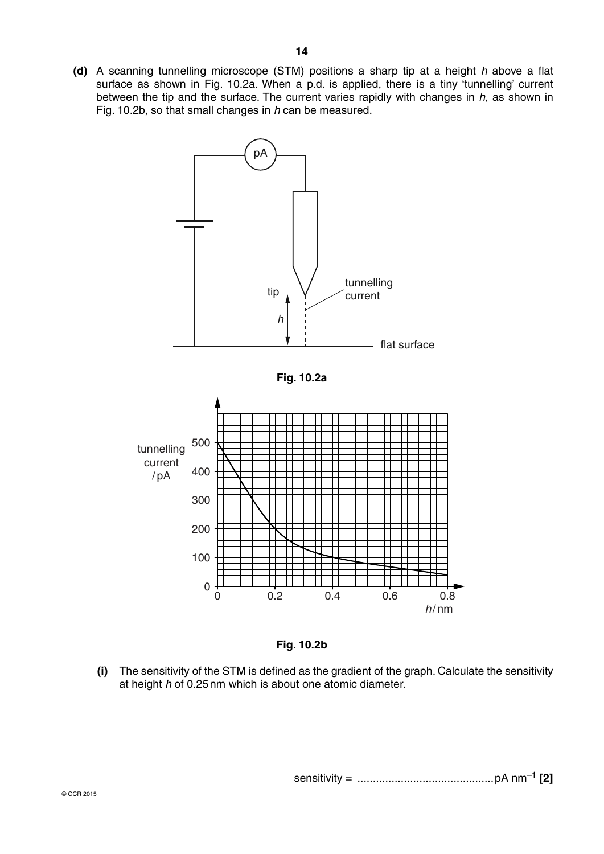



 **(i)** The sensitivity of the STM is defined as the gradient of the graph. Calculate the sensitivity at height *h* of 0.25 nm which is about one atomic diameter.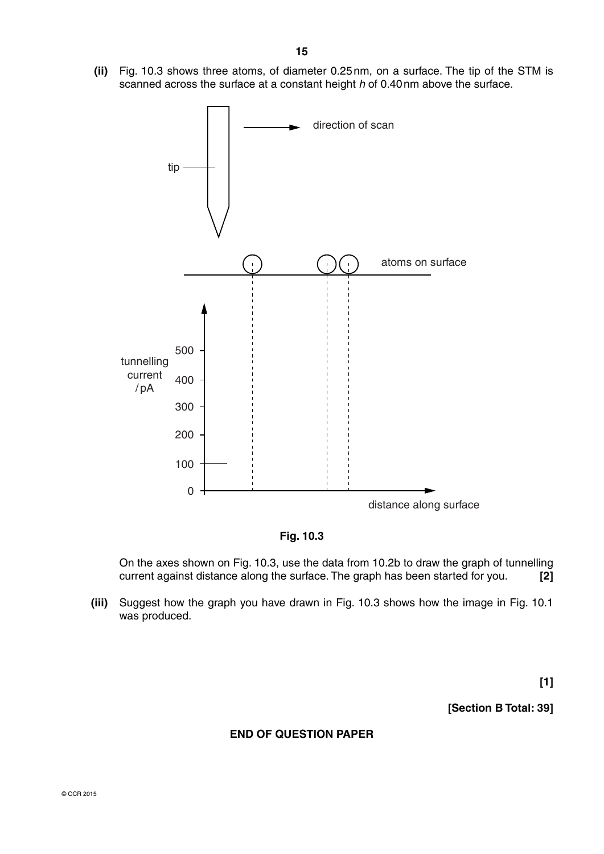**(ii)** Fig. 10.3 shows three atoms, of diameter 0.25 nm, on a surface. The tip of the STM is scanned across the surface at a constant height *h* of 0.40 nm above the surface.





On the axes shown on Fig. 10.3, use the data from 10.2b to draw the graph of tunnelling current against distance along the surface. The graph has been started for you. **[2]**

 **(iii)** Suggest how the graph you have drawn in Fig. 10.3 shows how the image in Fig. 10.1 was produced.

**[1]**

**[Section B Total: 39]**

## **END OF QUESTION PAPER**